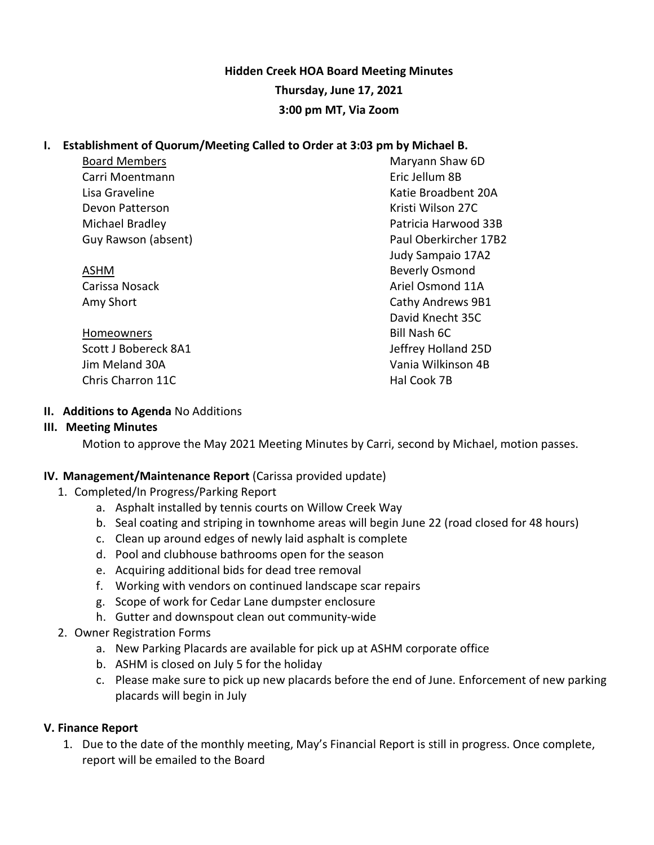**Hidden Creek HOA Board Meeting Minutes Thursday, June 17, 2021 3:00 pm MT, Via Zoom**

#### **I. Establishment of Quorum/Meeting Called to Order at 3:03 pm by Michael B.**

| <b>Board Members</b> | Maryann Shaw 6D       |
|----------------------|-----------------------|
| Carri Moentmann      | Eric Jellum 8B        |
| Lisa Graveline       | Katie Broadbent 20A   |
| Devon Patterson      | Kristi Wilson 27C     |
| Michael Bradley      | Patricia Harwood 33B  |
| Guy Rawson (absent)  | Paul Oberkircher 17B2 |
|                      | Judy Sampaio 17A2     |
| ASHM                 | <b>Beverly Osmond</b> |
| Carissa Nosack       | Ariel Osmond 11A      |
| Amy Short            | Cathy Andrews 9B1     |
|                      | David Knecht 35C      |
| Homeowners           | Bill Nash 6C          |
| Scott J Bobereck 8A1 | Jeffrey Holland 25D   |
| Jim Meland 30A       | Vania Wilkinson 4B    |
| Chris Charron 11C    | Hal Cook 7B           |

#### **II. Additions to Agenda** No Additions

#### **III. Meeting Minutes**

Motion to approve the May 2021 Meeting Minutes by Carri, second by Michael, motion passes.

#### **IV. Management/Maintenance Report** (Carissa provided update)

- 1. Completed/In Progress/Parking Report
	- a. Asphalt installed by tennis courts on Willow Creek Way
	- b. Seal coating and striping in townhome areas will begin June 22 (road closed for 48 hours)
	- c. Clean up around edges of newly laid asphalt is complete
	- d. Pool and clubhouse bathrooms open for the season
	- e. Acquiring additional bids for dead tree removal
	- f. Working with vendors on continued landscape scar repairs
	- g. Scope of work for Cedar Lane dumpster enclosure
	- h. Gutter and downspout clean out community-wide
- 2. Owner Registration Forms
	- a. New Parking Placards are available for pick up at ASHM corporate office
	- b. ASHM is closed on July 5 for the holiday
	- c. Please make sure to pick up new placards before the end of June. Enforcement of new parking placards will begin in July

#### **V. Finance Report**

1. Due to the date of the monthly meeting, May's Financial Report is still in progress. Once complete, report will be emailed to the Board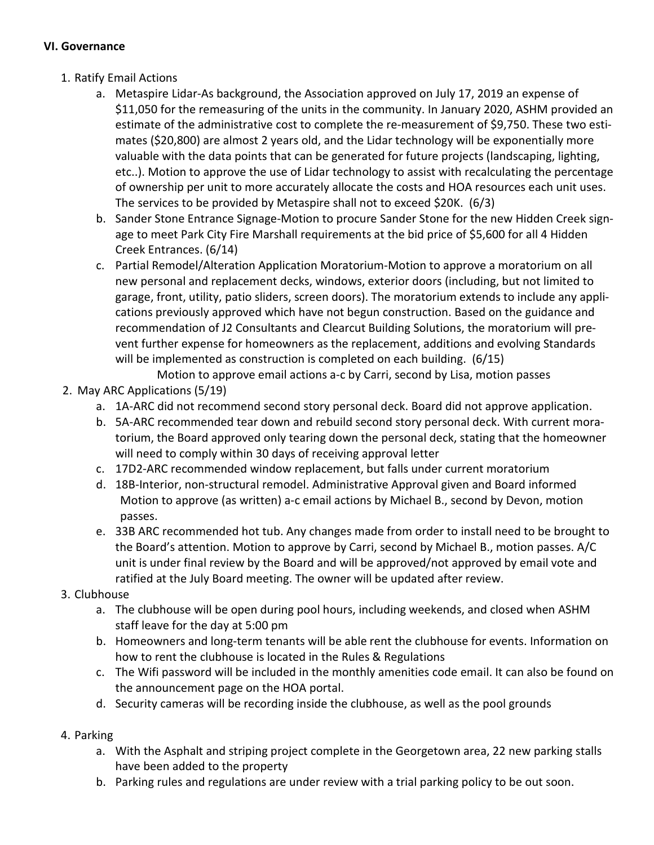## **VI. Governance**

- 1. Ratify Email Actions
	- a. Metaspire Lidar-As background, the Association approved on July 17, 2019 an expense of \$11,050 for the remeasuring of the units in the community. In January 2020, ASHM provided an estimate of the administrative cost to complete the re-measurement of \$9,750. These two estimates (\$20,800) are almost 2 years old, and the Lidar technology will be exponentially more valuable with the data points that can be generated for future projects (landscaping, lighting, etc..). Motion to approve the use of Lidar technology to assist with recalculating the percentage of ownership per unit to more accurately allocate the costs and HOA resources each unit uses. The services to be provided by Metaspire shall not to exceed \$20K. (6/3)
	- b. Sander Stone Entrance Signage-Motion to procure Sander Stone for the new Hidden Creek signage to meet Park City Fire Marshall requirements at the bid price of \$5,600 for all 4 Hidden Creek Entrances. (6/14)
	- c. Partial Remodel/Alteration Application Moratorium-Motion to approve a moratorium on all new personal and replacement decks, windows, exterior doors (including, but not limited to garage, front, utility, patio sliders, screen doors). The moratorium extends to include any applications previously approved which have not begun construction. Based on the guidance and recommendation of J2 Consultants and Clearcut Building Solutions, the moratorium will prevent further expense for homeowners as the replacement, additions and evolving Standards will be implemented as construction is completed on each building. (6/15)

Motion to approve email actions a-c by Carri, second by Lisa, motion passes

- 2. May ARC Applications (5/19)
	- a. 1A-ARC did not recommend second story personal deck. Board did not approve application.
	- b. 5A-ARC recommended tear down and rebuild second story personal deck. With current moratorium, the Board approved only tearing down the personal deck, stating that the homeowner will need to comply within 30 days of receiving approval letter
	- c. 17D2-ARC recommended window replacement, but falls under current moratorium
	- d. 18B-Interior, non-structural remodel. Administrative Approval given and Board informed Motion to approve (as written) a-c email actions by Michael B., second by Devon, motion passes.
	- e. 33B ARC recommended hot tub. Any changes made from order to install need to be brought to the Board's attention. Motion to approve by Carri, second by Michael B., motion passes. A/C unit is under final review by the Board and will be approved/not approved by email vote and ratified at the July Board meeting. The owner will be updated after review.

# 3. Clubhouse

- a. The clubhouse will be open during pool hours, including weekends, and closed when ASHM staff leave for the day at 5:00 pm
- b. Homeowners and long-term tenants will be able rent the clubhouse for events. Information on how to rent the clubhouse is located in the Rules & Regulations
- c. The Wifi password will be included in the monthly amenities code email. It can also be found on the announcement page on the HOA portal.
- d. Security cameras will be recording inside the clubhouse, as well as the pool grounds

# 4. Parking

- a. With the Asphalt and striping project complete in the Georgetown area, 22 new parking stalls have been added to the property
- b. Parking rules and regulations are under review with a trial parking policy to be out soon.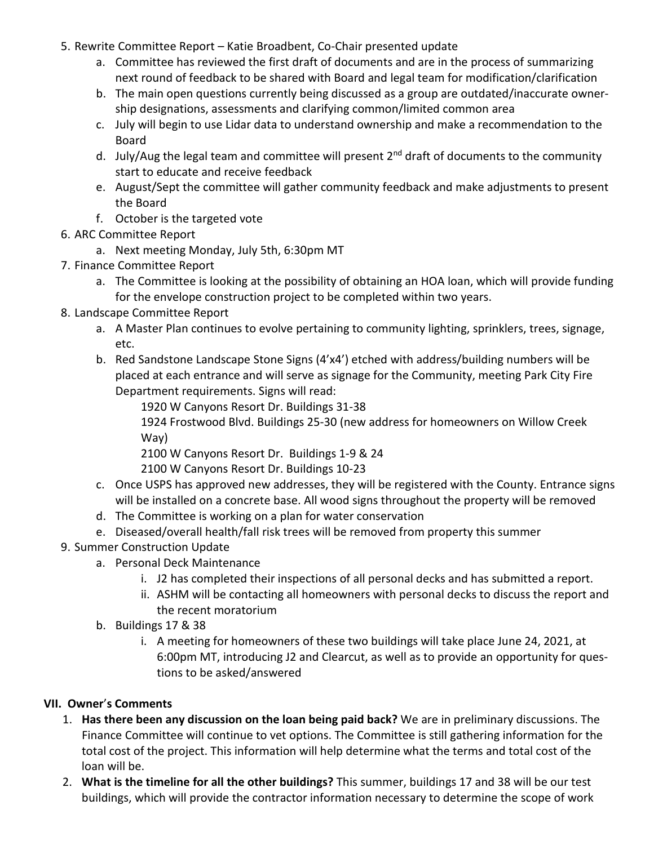- 5. Rewrite Committee Report Katie Broadbent, Co-Chair presented update
	- a. Committee has reviewed the first draft of documents and are in the process of summarizing next round of feedback to be shared with Board and legal team for modification/clarification
	- b. The main open questions currently being discussed as a group are outdated/inaccurate ownership designations, assessments and clarifying common/limited common area
	- c. July will begin to use Lidar data to understand ownership and make a recommendation to the Board
	- d. July/Aug the legal team and committee will present 2<sup>nd</sup> draft of documents to the community start to educate and receive feedback
	- e. August/Sept the committee will gather community feedback and make adjustments to present the Board
	- f. October is the targeted vote
- 6. ARC Committee Report
	- a. Next meeting Monday, July 5th, 6:30pm MT
- 7. Finance Committee Report
	- a. The Committee is looking at the possibility of obtaining an HOA loan, which will provide funding for the envelope construction project to be completed within two years.
- 8. Landscape Committee Report
	- a. A Master Plan continues to evolve pertaining to community lighting, sprinklers, trees, signage, etc.
	- b. Red Sandstone Landscape Stone Signs (4'x4') etched with address/building numbers will be placed at each entrance and will serve as signage for the Community, meeting Park City Fire Department requirements. Signs will read:

1920 W Canyons Resort Dr. Buildings 31-38

1924 Frostwood Blvd. Buildings 25-30 (new address for homeowners on Willow Creek Way)

2100 W Canyons Resort Dr. Buildings 1-9 & 24

2100 W Canyons Resort Dr. Buildings 10-23

- c. Once USPS has approved new addresses, they will be registered with the County. Entrance signs will be installed on a concrete base. All wood signs throughout the property will be removed
- d. The Committee is working on a plan for water conservation
- e. Diseased/overall health/fall risk trees will be removed from property this summer
- 9. Summer Construction Update
	- a. Personal Deck Maintenance
		- i. J2 has completed their inspections of all personal decks and has submitted a report.
		- ii. ASHM will be contacting all homeowners with personal decks to discuss the report and the recent moratorium
	- b. Buildings 17 & 38
		- i. A meeting for homeowners of these two buildings will take place June 24, 2021, at 6:00pm MT, introducing J2 and Clearcut, as well as to provide an opportunity for questions to be asked/answered

# **VII. Owner**'**s Comments**

- 1. **Has there been any discussion on the loan being paid back?** We are in preliminary discussions. The Finance Committee will continue to vet options. The Committee is still gathering information for the total cost of the project. This information will help determine what the terms and total cost of the loan will be.
- 2. **What is the timeline for all the other buildings?** This summer, buildings 17 and 38 will be our test buildings, which will provide the contractor information necessary to determine the scope of work